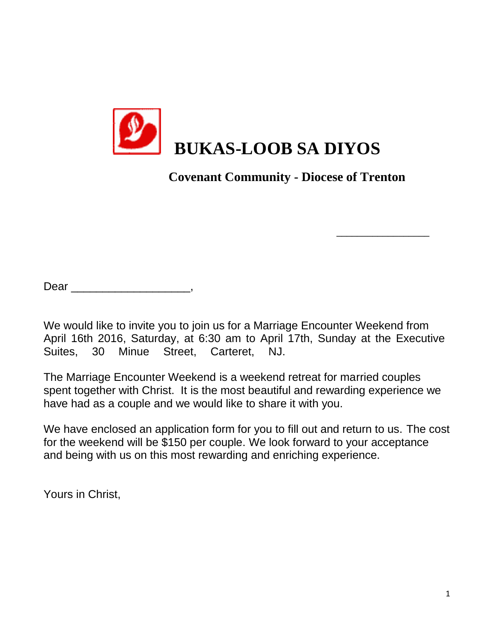

 **Covenant Community - Diocese of Trenton**

\_\_\_\_\_\_\_\_\_\_\_\_\_\_\_\_\_\_

Dear \_\_\_\_\_\_\_\_\_\_\_\_\_\_\_\_\_\_\_\_\_\_,

We would like to invite you to join us for a Marriage Encounter Weekend from April 16th 2016, Saturday, at 6:30 am to April 17th, Sunday at the Executive Suites, 30 Minue Street, Carteret, NJ.

The Marriage Encounter Weekend is a weekend retreat for married couples spent together with Christ. It is the most beautiful and rewarding experience we have had as a couple and we would like to share it with you.

We have enclosed an application form for you to fill out and return to us. The cost for the weekend will be \$150 per couple. We look forward to your acceptance and being with us on this most rewarding and enriching experience.

Yours in Christ,